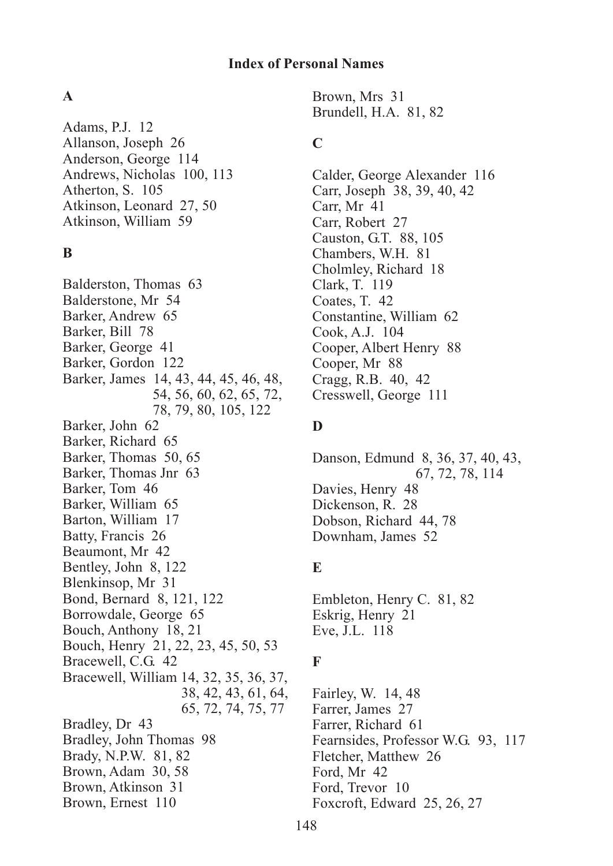#### **A**

Adams, P.J. 12 Allanson, Joseph 26 Anderson, George 114 Andrews, Nicholas 100, 113 Atherton, S. 105 Atkinson, Leonard 27, 50 Atkinson, William 59

## **B**

Balderston, Thomas 63 Balderstone, Mr 54 Barker, Andrew 65 Barker, Bill 78 Barker, George 41 Barker, Gordon 122 Barker, James 14, 43, 44, 45, 46, 48, 54, 56, 60, 62, 65, 72, 78, 79, 80, 105, 122 Barker, John 62 Barker, Richard 65 Barker, Thomas 50, 65 Barker, Thomas Jnr 63 Barker, Tom 46 Barker, William 65 Barton, William 17 Batty, Francis 26 Beaumont, Mr 42 Bentley, John 8, 122 Blenkinsop, Mr 31 Bond, Bernard 8, 121, 122 Borrowdale, George 65 Bouch, Anthony 18, 21 Bouch, Henry 21, 22, 23, 45, 50, 53 Bracewell, C.G. 42 Bracewell, William 14, 32, 35, 36, 37, 38, 42, 43, 61, 64, 65, 72, 74, 75, 77 Bradley, Dr 43 Bradley, John Thomas 98 Brady, N.P.W. 81, 82 Brown, Adam 30, 58 Brown, Atkinson 31 Brown, Ernest 110

Brown, Mrs 31 Brundell, H.A. 81, 82

## **C**

Calder, George Alexander 116 Carr, Joseph 38, 39, 40, 42 Carr, Mr 41 Carr, Robert 27 Causton, G.T. 88, 105 Chambers, W.H. 81 Cholmley, Richard 18 Clark, T. 119 Coates, T. 42 Constantine, William 62 Cook, A.J. 104 Cooper, Albert Henry 88 Cooper, Mr 88 Cragg, R.B. 40, 42 Cresswell, George 111

## **D**

Danson, Edmund 8, 36, 37, 40, 43, 67, 72, 78, 114 Davies, Henry 48 Dickenson, R. 28 Dobson, Richard 44, 78 Downham, James 52

## **E**

Embleton, Henry C. 81, 82 Eskrig, Henry 21 Eve, J.L. 118

# **F**

Fairley, W. 14, 48 Farrer, James 27 Farrer, Richard 61 Fearnsides, Professor W.G. 93, 117 Fletcher, Matthew 26 Ford, Mr 42 Ford, Trevor 10 Foxcroft, Edward 25, 26, 27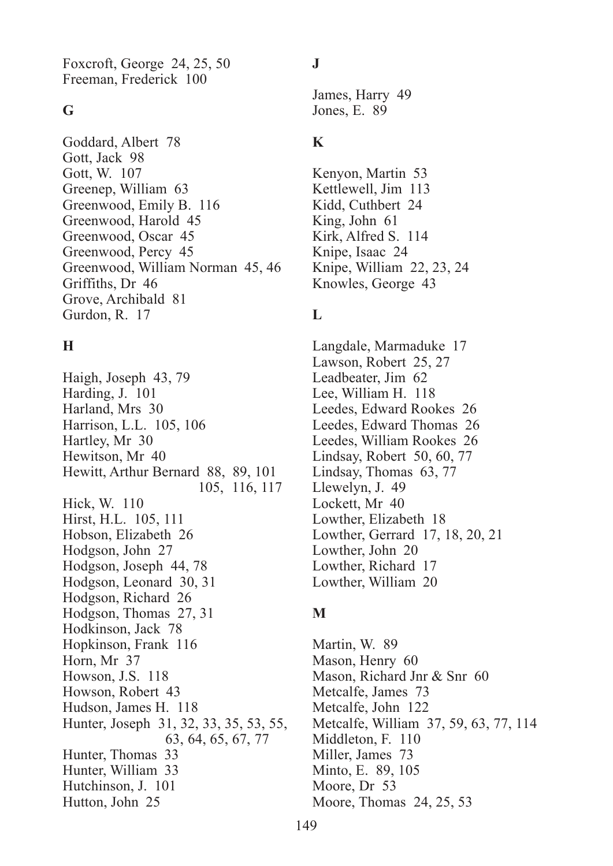Foxcroft, George 24, 25, 50 Freeman, Frederick 100

#### **G**

Goddard, Albert 78 Gott, Jack 98 Gott, W. 107 Greenep, William 63 Greenwood, Emily B. 116 Greenwood, Harold 45 Greenwood, Oscar 45 Greenwood, Percy 45 Greenwood, William Norman 45, 46 Griffiths, Dr 46 Grove, Archibald 81 Gurdon, R. 17

## **H**

Haigh, Joseph 43, 79 Harding, J. 101 Harland, Mrs 30 Harrison, L.L. 105, 106 Hartley, Mr 30 Hewitson, Mr 40 Hewitt, Arthur Bernard 88, 89, 101 105, 116, 117 Hick, W. 110 Hirst, H.L. 105, 111 Hobson, Elizabeth 26 Hodgson, John 27 Hodgson, Joseph 44, 78 Hodgson, Leonard 30, 31 Hodgson, Richard 26 Hodgson, Thomas 27, 31 Hodkinson, Jack 78 Hopkinson, Frank 116 Horn, Mr 37 Howson, J.S. 118 Howson, Robert 43 Hudson, James H. 118 Hunter, Joseph 31, 32, 33, 35, 53, 55, 63, 64, 65, 67, 77 Hunter, Thomas 33 Hunter, William 33 Hutchinson, J. 101 Hutton, John 25

## **J**

James, Harry 49 Jones, E. 89

## **K**

Kenyon, Martin 53 Kettlewell, Jim 113 Kidd, Cuthbert 24 King, John 61 Kirk, Alfred S. 114 Knipe, Isaac 24 Knipe, William 22, 23, 24 Knowles, George 43

# **L**

Langdale, Marmaduke 17 Lawson, Robert 25, 27 Leadbeater, Jim 62 Lee, William H. 118 Leedes, Edward Rookes 26 Leedes, Edward Thomas 26 Leedes, William Rookes 26 Lindsay, Robert 50, 60, 77 Lindsay, Thomas 63, 77 Llewelyn, J. 49 Lockett, Mr 40 Lowther, Elizabeth 18 Lowther, Gerrard 17, 18, 20, 21 Lowther, John 20 Lowther, Richard 17 Lowther, William 20

# **M**

Martin, W. 89 Mason, Henry 60 Mason, Richard Jnr & Snr 60 Metcalfe, James 73 Metcalfe, John 122 Metcalfe, William 37, 59, 63, 77, 114 Middleton, F. 110 Miller, James 73 Minto, E. 89, 105 Moore, Dr 53 Moore, Thomas 24, 25, 53